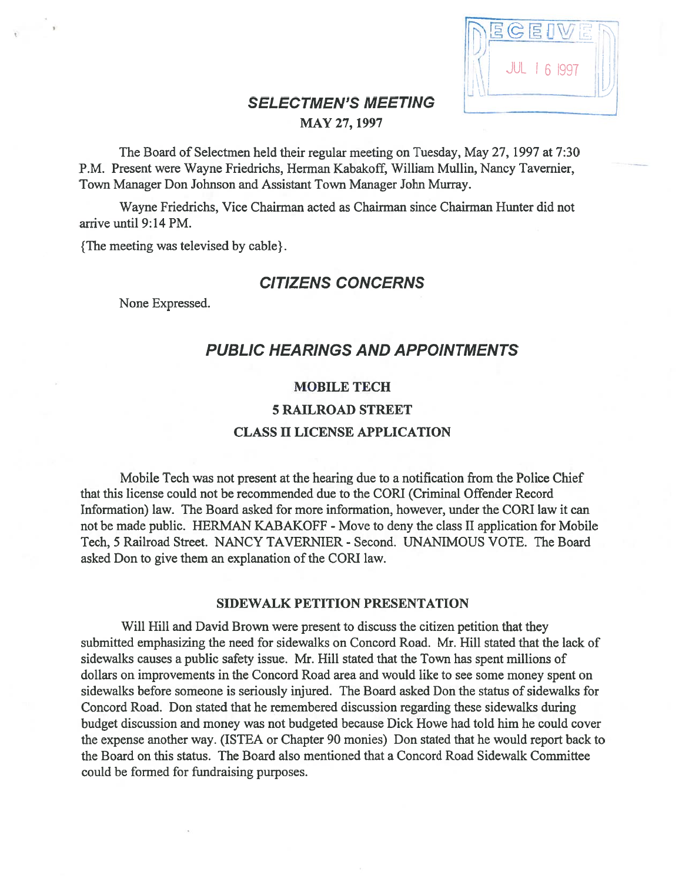|                            | 5                   |
|----------------------------|---------------------|
| <b>SELECTMEN'S MEETING</b> | <b>JUL 1 6 1997</b> |

# MAY 27, 1997

The Board of Selectmen held their regular meeting on Tuesday, May 27, 1997 at 7:30 P.M. Present were Wayne friedrichs, Herman Kabakoff, William Mullin, Nancy Tavemier, Town Manager Don Johnson and Assistant Town Manager John Murray.

Wayne friedrichs, Vice Chairman acted as Chairman since Chairman Hunter did not arrive until 9:14 PM.

{The meeting was televised by cable}.

# CITIZENS CONCERNS

None Expressed.

# PUBLIC HEARINGS AND APPOINTMENTS

# MOBILE TECH

## 5 RAILROAD STREET

# CLASS II LICENSE APPLICATION

Mobile Tech was not presen<sup>t</sup> at the hearing due to <sup>a</sup> notification from the Police Chief that this license could not be recommended due to the CORI (Criminal Offender Record Information) law. The Board asked for more information, however, under the CURl law it can not be made public. HERMAN KABAKOFF - Move to deny the class II application for Mobile Tech, 5 Railroad Street. NANCY TAVERNIER - Second. UNANIMOUS VOTE. The Board asked Don to give them an explanation of the CORI law.

### SIDEWALK PETITION PRESENTATION

Will Hill and David Brown were presen<sup>t</sup> to discuss the citizen petition that they submitted emphasizing the need for sidewalks on Concord Road. Mr. Hill stated that the lack of sidewalks causes <sup>a</sup> public safety issue. Mr. Hill stated that the Town has spen<sup>t</sup> millions of dollars on improvements in the Concord Road area and would like to see some money spen<sup>t</sup> on sidewalks before someone is seriously injured. The Board asked Don the status of sidewalks for Concord Road. Don stated that he remembered discussion regarding these sidewalks during budget discussion and money was not budgeted because Dick Howe had told him he could cover the expense another way. (ISTEA or Chapter 90 monies) Don stated that he would repor<sup>t</sup> back to the Board on this status. The Board also mentioned that <sup>a</sup> Concord Road Sidewalk Committee could be formed for fundraising purposes.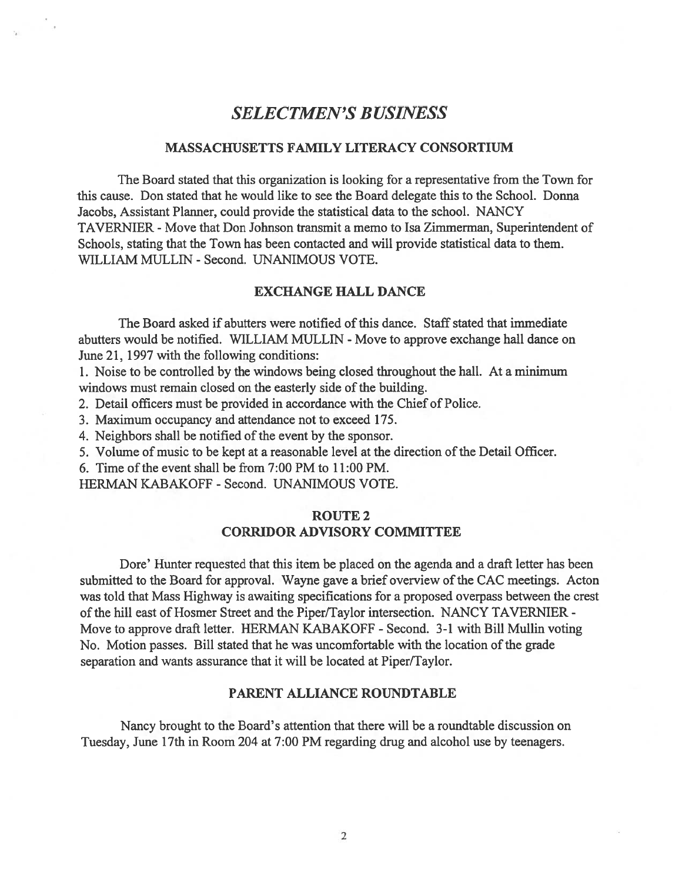# SELECTMEN'S BUSINESS

### MASSACHUSETTS FAMILY LITERACY CONSORTIUM

The Board stated that this organization is looking for <sup>a</sup> representative from the Town for this cause. Don stated that he would like to see the Board delegate this to the School. Donna Jacobs, Assistant Planner, could provide the statistical data to the school. NANCY TAVERNIER - Move that Don Johnson transmit a memo to Isa Zimmerman, Superintendent of Schools, stating that the Town has been contacted and will provide statistical data to them. WILLIAM MULLIN - Second. UNANIMOUS VOTE.

#### EXCHANGE HALL DANCE

The Board asked if abutters were notified of this dance. Staff stated that immediate abutters would be notified. WILLIAM MULLIN - Move to approve exchange hall dance on June 21, 1997 with the following conditions:

1. Noise to be controlled by the windows being closed throughout the hall. At <sup>a</sup> minimum windows must remain closed on the easterly side of the building.

2. Detail officers must be provided in accordance with the Chief of Police.

3. Maximum occupancy and attendance not to exceed 175.

4. Neighbors shall be notified of the event by the sponsor.

5. Volume of music to be kept at a reasonable level at the direction of the Detail Officer.

6. Time of the event shall be from  $7:00$  PM to  $11:00$  PM.

HERMAN KABAKOFF - Second. UNANIMOUS VOTE.

## ROUTE 2 CORRIDOR ADVISORY COMMITTEE

Dore' Hunter requested that this item be placed on the agenda and <sup>a</sup> draft letter has been submitted to the Board for approval. Wayne gave <sup>a</sup> brief overview of the CAC meetings. Acton was told that Mass Highway is awaiting specifications for <sup>a</sup> proposed overpass between the crest of the hill east of Hosmer Street and the Piper/Taylor intersection. NANCY TAVERNIER - Move to approve draft letter. HERMAN KABAKOFF - Second. 3-1 with Bill Mullin voting No. Motion passes. Bill stated that he was uncomfortable with the location of the grade separation and wants assurance that it will be located at Piper/Taylor.

#### PARENT ALLIANCE ROUNDTABLE

Nancy brought to the Board's attention that there will be <sup>a</sup> roundtable discussion on Tuesday, June 17th in Room 204 at 7:00 PM regarding drug and alcohol use by teenagers.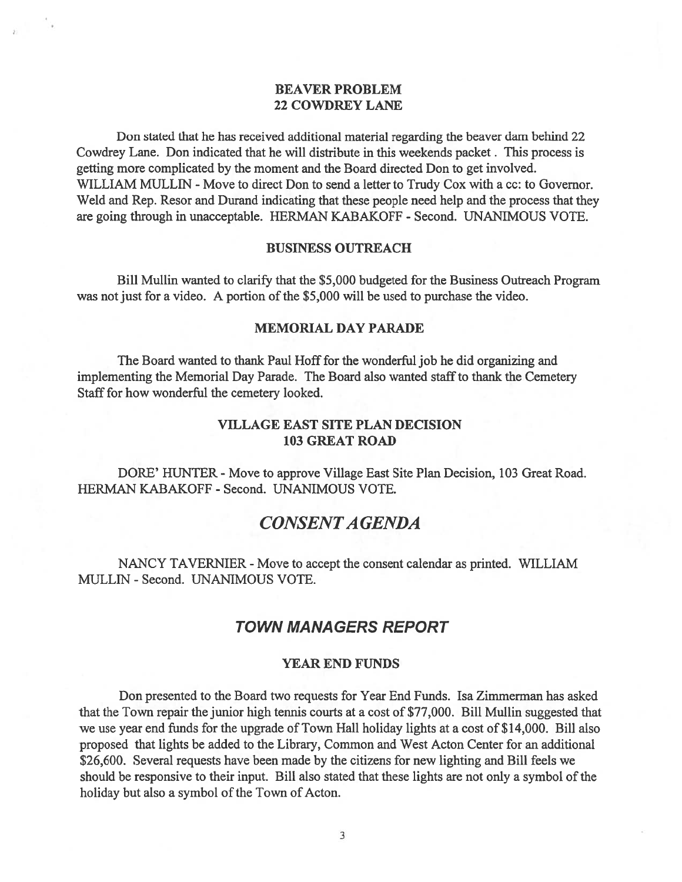## BEAVER PROBLEM 22 COWDREY LANE

Don stated that he has received additional material regarding the beaver dam behind 22 Cowdrey Lane. Don indicated that he will distribute in this weekends packet. This process is getting more complicated by the moment and the Board directed Don to ge<sup>t</sup> involved. WILLIAM MULLIN - Move to direct Don to send a letter to Trudy Cox with a cc: to Governor. Weld and Rep. Resor and Durand indicating that these people need help and the process that they are going through in unacceptable. HERMAN KABAKOFF - Second. UNANIMOUS VOTE.

#### BUSINESS OUTREACH

Bill Mullin wanted to clarify that the \$5,000 budgeted for the Business Outreach Program was not just for a video. A portion of the \$5,000 will be used to purchase the video.

### MEMORIAL DAY PARADE

The Board wanted to thank Paul Hoff for the wonderful job he did organizing and implementing the Memorial Day Parade. The Board also wanted staff to thank the Cemetery Staff for how wonderful the cemetery looked.

## VILLAGE EAST SITE PLAN DECISION 103 GREAT ROAD

DORE' HUNTER - Move to approve Village East Site Plan Decision, 103 Great Road. HERMAN KABAKOFF - Second. UNANIMOUS VOTE.

# CONSENTA GENDA

NANCY TAVERNIER - Move to accept the consent calendar as printed. WILLIAM MULLEN -Second. UNANIMOUS VOTE.

## TOWN MANAGERS REPORT

#### YEAR END FUNDS

Don presented to the Board two requests for Year End Funds. Isa Zimmerman has asked that the Town repair the junior high tennis courts at <sup>a</sup> cost of \$77,000. Bill Mullin suggested that we use year end funds for the upgrade of Town Hall holiday lights at <sup>a</sup> cost of \$14,000. Bill also proposed that lights be added to the Library, Common and West Acton Center for an additional \$26,600. Several requests have been made by the citizens for new lighting and Bill feels we should be responsive to their input. Bill also stated that these lights are not only a symbol of the holiday but also a symbol of the Town of Acton.